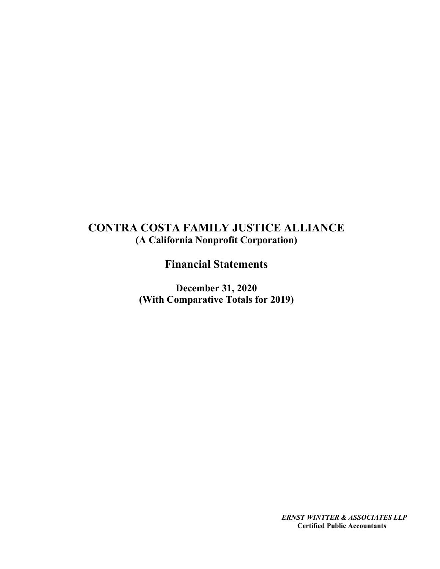# CONTRA COSTA FAMILY JUSTICE ALLIANCE (A California Nonprofit Corporation)

Financial Statements

December 31, 2020 (With Comparative Totals for 2019)

> ERNST WINTTER & ASSOCIATES LLP Certified Public Accountants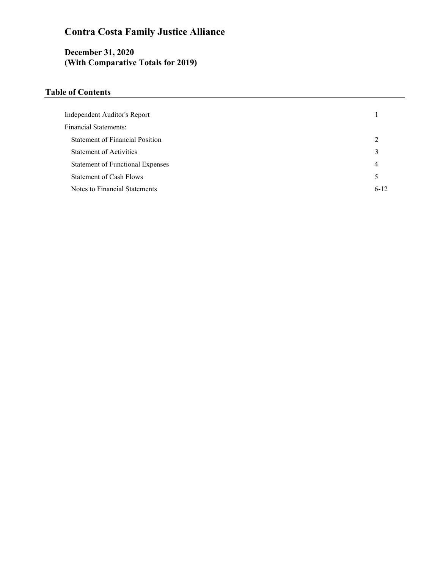# Contra Costa Family Justice Alliance

# December 31, 2020 (With Comparative Totals for 2019)

# Table of Contents

| Independent Auditor's Report            |          |
|-----------------------------------------|----------|
| <b>Financial Statements:</b>            |          |
| <b>Statement of Financial Position</b>  | 2        |
| <b>Statement of Activities</b>          | 3        |
| <b>Statement of Functional Expenses</b> | 4        |
| <b>Statement of Cash Flows</b>          | 5        |
| Notes to Financial Statements           | $6 - 12$ |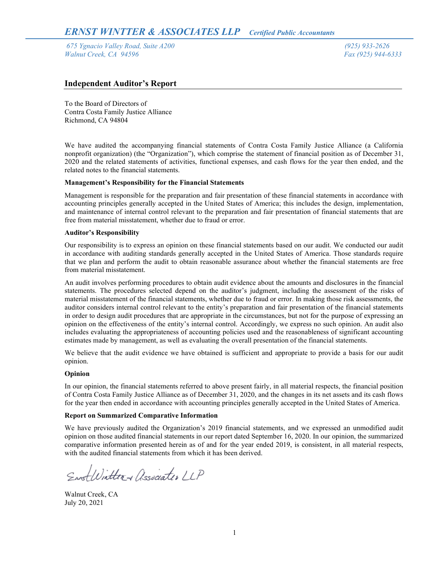675 Ygnacio Valley Road, Suite A200 (925) 933-2626 **Walnut Creek, CA 94596** Fax (925) 944-6333

# Independent Auditor's Report

To the Board of Directors of Contra Costa Family Justice Alliance Richmond, CA 94804

We have audited the accompanying financial statements of Contra Costa Family Justice Alliance (a California nonprofit organization) (the "Organization"), which comprise the statement of financial position as of December 31, 2020 and the related statements of activities, functional expenses, and cash flows for the year then ended, and the related notes to the financial statements.

## Management's Responsibility for the Financial Statements

Management is responsible for the preparation and fair presentation of these financial statements in accordance with accounting principles generally accepted in the United States of America; this includes the design, implementation, and maintenance of internal control relevant to the preparation and fair presentation of financial statements that are free from material misstatement, whether due to fraud or error.

#### Auditor's Responsibility

Our responsibility is to express an opinion on these financial statements based on our audit. We conducted our audit in accordance with auditing standards generally accepted in the United States of America. Those standards require that we plan and perform the audit to obtain reasonable assurance about whether the financial statements are free from material misstatement.

An audit involves performing procedures to obtain audit evidence about the amounts and disclosures in the financial statements. The procedures selected depend on the auditor's judgment, including the assessment of the risks of material misstatement of the financial statements, whether due to fraud or error. In making those risk assessments, the auditor considers internal control relevant to the entity's preparation and fair presentation of the financial statements in order to design audit procedures that are appropriate in the circumstances, but not for the purpose of expressing an opinion on the effectiveness of the entity's internal control. Accordingly, we express no such opinion. An audit also includes evaluating the appropriateness of accounting policies used and the reasonableness of significant accounting estimates made by management, as well as evaluating the overall presentation of the financial statements.

We believe that the audit evidence we have obtained is sufficient and appropriate to provide a basis for our audit opinion.

## Opinion

In our opinion, the financial statements referred to above present fairly, in all material respects, the financial position of Contra Costa Family Justice Alliance as of December 31, 2020, and the changes in its net assets and its cash flows for the year then ended in accordance with accounting principles generally accepted in the United States of America.

#### Report on Summarized Comparative Information

We have previously audited the Organization's 2019 financial statements, and we expressed an unmodified audit opinion on those audited financial statements in our report dated September 16, 2020. In our opinion, the summarized comparative information presented herein as of and for the year ended 2019, is consistent, in all material respects, with the audited financial statements from which it has been derived.

EnstWitter + Associates LLP

Walnut Creek, CA July 20, 2021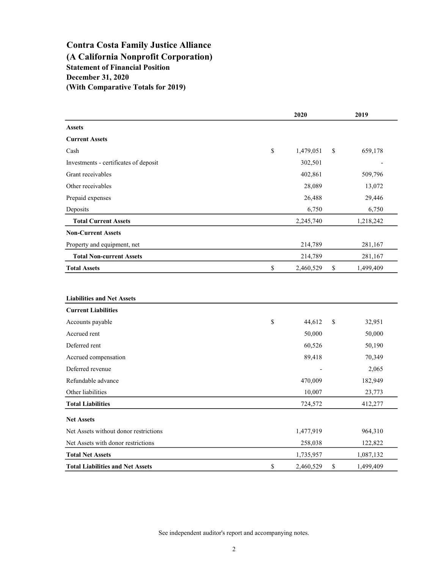# Contra Costa Family Justice Alliance (A California Nonprofit Corporation) Statement of Financial Position (With Comparative Totals for 2019) December 31, 2020

|                                         | 2020            | 2019            |
|-----------------------------------------|-----------------|-----------------|
| <b>Assets</b>                           |                 |                 |
| <b>Current Assets</b>                   |                 |                 |
| Cash                                    | \$<br>1,479,051 | \$<br>659,178   |
| Investments - certificates of deposit   | 302,501         |                 |
| Grant receivables                       | 402,861         | 509,796         |
| Other receivables                       | 28,089          | 13,072          |
| Prepaid expenses                        | 26,488          | 29,446          |
| Deposits                                | 6,750           | 6,750           |
| <b>Total Current Assets</b>             | 2,245,740       | 1,218,242       |
| <b>Non-Current Assets</b>               |                 |                 |
| Property and equipment, net             | 214,789         | 281,167         |
| <b>Total Non-current Assets</b>         | 214,789         | 281,167         |
| <b>Total Assets</b>                     | \$<br>2,460,529 | \$<br>1,499,409 |
| <b>Liabilities and Net Assets</b>       |                 |                 |
| <b>Current Liabilities</b>              |                 |                 |
| Accounts payable                        | \$<br>44,612    | \$<br>32,951    |
| Accrued rent                            | 50,000          | 50,000          |
| Deferred rent                           | 60,526          | 50,190          |
| Accrued compensation                    | 89,418          | 70,349          |
| Deferred revenue                        |                 | 2,065           |
| Refundable advance                      | 470,009         | 182,949         |
| Other liabilities                       | 10,007          | 23,773          |
| <b>Total Liabilities</b>                | 724,572         | 412,277         |
| <b>Net Assets</b>                       |                 |                 |
| Net Assets without donor restrictions   | 1,477,919       | 964,310         |
| Net Assets with donor restrictions      | 258,038         | 122,822         |
| <b>Total Net Assets</b>                 | 1,735,957       | 1,087,132       |
| <b>Total Liabilities and Net Assets</b> | \$<br>2,460,529 | \$<br>1,499,409 |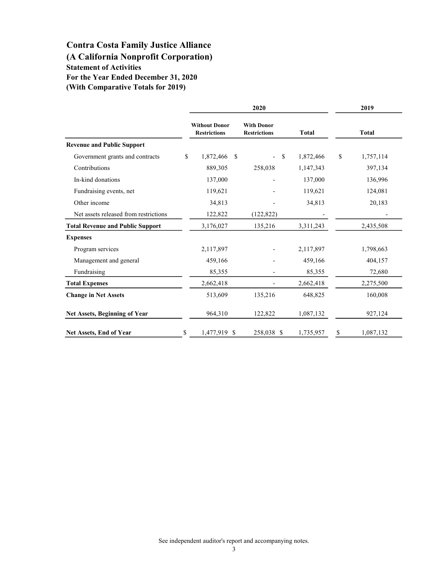# Contra Costa Family Justice Alliance

(A California Nonprofit Corporation)

Statement of Activities For the Year Ended December 31, 2020

(With Comparative Totals for 2019)

|                                         | 2020 |                                             |               |                                          |                 | 2019          |              |
|-----------------------------------------|------|---------------------------------------------|---------------|------------------------------------------|-----------------|---------------|--------------|
|                                         |      | <b>Without Donor</b><br><b>Restrictions</b> |               | <b>With Donor</b><br><b>Restrictions</b> | <b>Total</b>    |               | <b>Total</b> |
| <b>Revenue and Public Support</b>       |      |                                             |               |                                          |                 |               |              |
| Government grants and contracts         | \$   | 1,872,466                                   | <sup>\$</sup> |                                          | \$<br>1,872,466 | <sup>\$</sup> | 1,757,114    |
| Contributions                           |      | 889,305                                     |               | 258,038                                  | 1,147,343       |               | 397,134      |
| In-kind donations                       |      | 137,000                                     |               |                                          | 137,000         |               | 136,996      |
| Fundraising events, net                 |      | 119,621                                     |               |                                          | 119,621         |               | 124,081      |
| Other income                            |      | 34,813                                      |               |                                          | 34,813          |               | 20,183       |
| Net assets released from restrictions   |      | 122,822                                     |               | (122, 822)                               |                 |               |              |
| <b>Total Revenue and Public Support</b> |      | 3,176,027                                   |               | 135,216                                  | 3,311,243       |               | 2,435,508    |
| <b>Expenses</b>                         |      |                                             |               |                                          |                 |               |              |
| Program services                        |      | 2,117,897                                   |               |                                          | 2,117,897       |               | 1,798,663    |
| Management and general                  |      | 459,166                                     |               |                                          | 459,166         |               | 404,157      |
| Fundraising                             |      | 85,355                                      |               |                                          | 85,355          |               | 72,680       |
| <b>Total Expenses</b>                   |      | 2,662,418                                   |               |                                          | 2,662,418       |               | 2,275,500    |
| <b>Change in Net Assets</b>             |      | 513,609                                     |               | 135,216                                  | 648,825         |               | 160,008      |
| Net Assets, Beginning of Year           |      | 964,310                                     |               | 122,822                                  | 1,087,132       |               | 927,124      |
| <b>Net Assets, End of Year</b>          | \$   | 1,477,919 \$                                |               | 258,038 \$                               | 1,735,957       | \$            | 1,087,132    |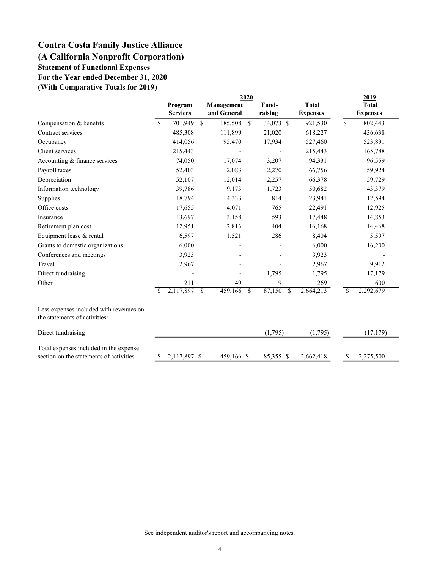# Contra Costa Family Justice Alliance (A California Nonprofit Corporation) Statement of Functional Expenses

For the Year ended December 31, 2020

(With Comparative Totals for 2019)

|                                                                                   |                    | 2020                     |             |               |                         |                 | 2019            |
|-----------------------------------------------------------------------------------|--------------------|--------------------------|-------------|---------------|-------------------------|-----------------|-----------------|
|                                                                                   | Program            |                          | Management  |               | Fund-                   | <b>Total</b>    | <b>Total</b>    |
|                                                                                   | <b>Services</b>    |                          | and General |               | raising                 | <b>Expenses</b> | <b>Expenses</b> |
| Compensation & benefits                                                           | \$<br>701,949      | \$                       | 185,508     | $\mathcal{S}$ | 34,073 \$               | 921,530         | \$<br>802,443   |
| Contract services                                                                 | 485,308            |                          | 111,899     |               | 21,020                  | 618,227         | 436,638         |
| Occupancy                                                                         | 414,056            |                          | 95,470      |               | 17,934                  | 527,460         | 523,891         |
| Client services                                                                   | 215,443            |                          |             |               |                         | 215,443         | 165,788         |
| Accounting & finance services                                                     | 74,050             |                          | 17,074      |               | 3,207                   | 94,331          | 96,559          |
| Payroll taxes                                                                     | 52,403             |                          | 12,083      |               | 2,270                   | 66,756          | 59,924          |
| Depreciation                                                                      | 52,107             |                          | 12,014      |               | 2,257                   | 66,378          | 59,729          |
| Information technology                                                            | 39,786             |                          | 9,173       |               | 1,723                   | 50,682          | 43,379          |
| Supplies                                                                          | 18,794             |                          | 4,333       |               | 814                     | 23,941          | 12,594          |
| Office costs                                                                      | 17,655             |                          | 4,071       |               | 765                     | 22,491          | 12,925          |
| Insurance                                                                         | 13,697             |                          | 3,158       |               | 593                     | 17,448          | 14,853          |
| Retirement plan cost                                                              | 12,951             |                          | 2,813       |               | 404                     | 16,168          | 14,468          |
| Equipment lease & rental                                                          | 6,597              |                          | 1,521       |               | 286                     | 8,404           | 5,597           |
| Grants to domestic organizations                                                  | 6,000              |                          |             |               |                         | 6,000           | 16,200          |
| Conferences and meetings                                                          | 3,923              |                          |             |               |                         | 3,923           |                 |
| Travel                                                                            | 2,967              |                          |             |               |                         | 2,967           | 9,912           |
| Direct fundraising                                                                |                    |                          |             |               | 1,795                   | 1,795           | 17,179          |
| Other                                                                             | 211                |                          | 49          |               | 9                       | 269             | 600             |
|                                                                                   | \$<br>2,117,897    | $\overline{\mathcal{S}}$ | 459,166     | <sup>\$</sup> | 87,150<br>$\mathcal{S}$ | 2,664,213       | \$<br>2,292,679 |
| Less expenses included with revenues on<br>the statements of activities:          |                    |                          |             |               |                         |                 |                 |
| Direct fundraising                                                                |                    |                          |             |               | (1,795)                 | (1,795)         | (17, 179)       |
| Total expenses included in the expense<br>section on the statements of activities | \$<br>2,117,897 \$ |                          | 459,166 \$  |               | 85,355 \$               | 2,662,418       | \$<br>2,275,500 |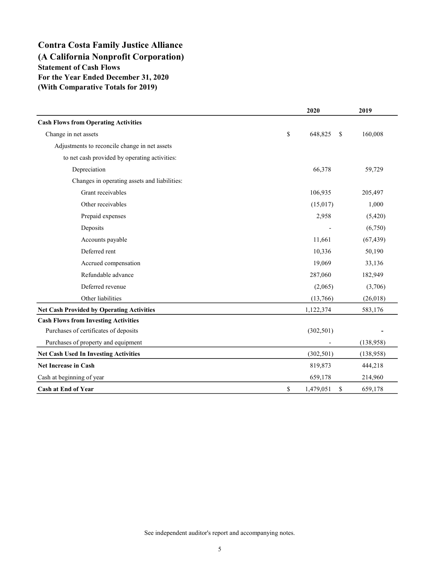# Contra Costa Family Justice Alliance (A California Nonprofit Corporation) Statement of Cash Flows For the Year Ended December 31, 2020 (With Comparative Totals for 2019)

|                                                  | 2020                  | 2019      |
|--------------------------------------------------|-----------------------|-----------|
| <b>Cash Flows from Operating Activities</b>      |                       |           |
| Change in net assets                             | \$<br>648,825<br>S    | 160,008   |
| Adjustments to reconcile change in net assets    |                       |           |
| to net cash provided by operating activities:    |                       |           |
| Depreciation                                     | 66,378                | 59,729    |
| Changes in operating assets and liabilities:     |                       |           |
| Grant receivables                                | 106,935               | 205,497   |
| Other receivables                                | (15,017)              | 1,000     |
| Prepaid expenses                                 | 2,958                 | (5,420)   |
| Deposits                                         |                       | (6,750)   |
| Accounts payable                                 | 11,661                | (67, 439) |
| Deferred rent                                    | 10,336                | 50,190    |
| Accrued compensation                             | 19,069                | 33,136    |
| Refundable advance                               | 287,060               | 182,949   |
| Deferred revenue                                 | (2,065)               | (3,706)   |
| Other liabilities                                | (13,766)              | (26, 018) |
| <b>Net Cash Provided by Operating Activities</b> | 1,122,374             | 583,176   |
| <b>Cash Flows from Investing Activities</b>      |                       |           |
| Purchases of certificates of deposits            | (302, 501)            |           |
| Purchases of property and equipment              |                       | (138,958) |
| <b>Net Cash Used In Investing Activities</b>     | (302, 501)            | (138,958) |
| <b>Net Increase in Cash</b>                      | 819,873               | 444,218   |
| Cash at beginning of year                        | 659,178               | 214,960   |
| Cash at End of Year                              | \$<br>1,479,051<br>\$ | 659,178   |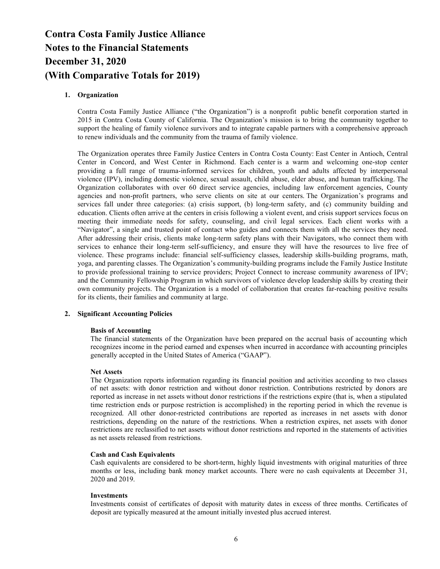# 1. Organization

Contra Costa Family Justice Alliance ("the Organization") is a nonprofit public benefit corporation started in 2015 in Contra Costa County of California. The Organization's mission is to bring the community together to support the healing of family violence survivors and to integrate capable partners with a comprehensive approach to renew individuals and the community from the trauma of family violence.

The Organization operates three Family Justice Centers in Contra Costa County: East Center in Antioch, Central Center in Concord, and West Center in Richmond. Each center is a warm and welcoming one-stop center providing a full range of trauma-informed services for children, youth and adults affected by interpersonal violence (IPV), including domestic violence, sexual assault, child abuse, elder abuse, and human trafficking. The Organization collaborates with over 60 direct service agencies, including law enforcement agencies, County agencies and non-profit partners, who serve clients on site at our centers. The Organization's programs and services fall under three categories: (a) crisis support, (b) long-term safety, and (c) community building and education. Clients often arrive at the centers in crisis following a violent event, and crisis support services focus on meeting their immediate needs for safety, counseling, and civil legal services. Each client works with a "Navigator", a single and trusted point of contact who guides and connects them with all the services they need. After addressing their crisis, clients make long-term safety plans with their Navigators, who connect them with services to enhance their long-term self-sufficiency, and ensure they will have the resources to live free of violence. These programs include: financial self-sufficiency classes, leadership skills-building programs, math, yoga, and parenting classes. The Organization's community-building programs include the Family Justice Institute to provide professional training to service providers; Project Connect to increase community awareness of IPV; and the Community Fellowship Program in which survivors of violence develop leadership skills by creating their own community projects. The Organization is a model of collaboration that creates far-reaching positive results for its clients, their families and community at large.

## 2. Significant Accounting Policies

## Basis of Accounting

The financial statements of the Organization have been prepared on the accrual basis of accounting which recognizes income in the period earned and expenses when incurred in accordance with accounting principles generally accepted in the United States of America ("GAAP").

## Net Assets

The Organization reports information regarding its financial position and activities according to two classes of net assets: with donor restriction and without donor restriction. Contributions restricted by donors are reported as increase in net assets without donor restrictions if the restrictions expire (that is, when a stipulated time restriction ends or purpose restriction is accomplished) in the reporting period in which the revenue is recognized. All other donor-restricted contributions are reported as increases in net assets with donor restrictions, depending on the nature of the restrictions. When a restriction expires, net assets with donor restrictions are reclassified to net assets without donor restrictions and reported in the statements of activities as net assets released from restrictions.

#### Cash and Cash Equivalents

Cash equivalents are considered to be short-term, highly liquid investments with original maturities of three months or less, including bank money market accounts. There were no cash equivalents at December 31, 2020 and 2019.

#### **Investments**

Investments consist of certificates of deposit with maturity dates in excess of three months. Certificates of deposit are typically measured at the amount initially invested plus accrued interest.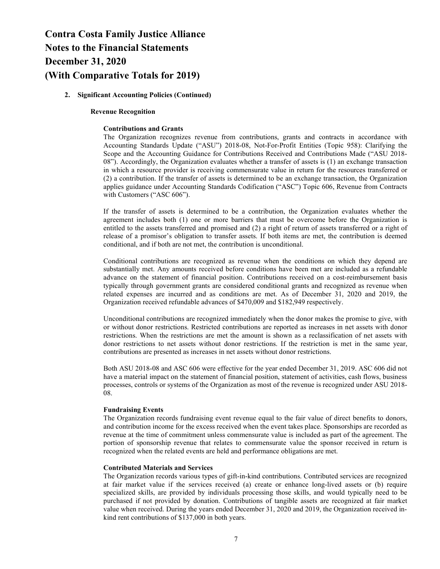# 2. Significant Accounting Policies (Continued)

#### Revenue Recognition

#### Contributions and Grants

The Organization recognizes revenue from contributions, grants and contracts in accordance with Accounting Standards Update ("ASU") 2018-08, Not-For-Profit Entities (Topic 958): Clarifying the Scope and the Accounting Guidance for Contributions Received and Contributions Made ("ASU 2018- 08"). Accordingly, the Organization evaluates whether a transfer of assets is (1) an exchange transaction in which a resource provider is receiving commensurate value in return for the resources transferred or (2) a contribution. If the transfer of assets is determined to be an exchange transaction, the Organization applies guidance under Accounting Standards Codification ("ASC") Topic 606, Revenue from Contracts with Customers ("ASC 606").

If the transfer of assets is determined to be a contribution, the Organization evaluates whether the agreement includes both (1) one or more barriers that must be overcome before the Organization is entitled to the assets transferred and promised and (2) a right of return of assets transferred or a right of release of a promisor's obligation to transfer assets. If both items are met, the contribution is deemed conditional, and if both are not met, the contribution is unconditional.

Conditional contributions are recognized as revenue when the conditions on which they depend are substantially met. Any amounts received before conditions have been met are included as a refundable advance on the statement of financial position. Contributions received on a cost-reimbursement basis typically through government grants are considered conditional grants and recognized as revenue when related expenses are incurred and as conditions are met. As of December 31, 2020 and 2019, the Organization received refundable advances of \$470,009 and \$182,949 respectively.

Unconditional contributions are recognized immediately when the donor makes the promise to give, with or without donor restrictions. Restricted contributions are reported as increases in net assets with donor restrictions. When the restrictions are met the amount is shown as a reclassification of net assets with donor restrictions to net assets without donor restrictions. If the restriction is met in the same year, contributions are presented as increases in net assets without donor restrictions.

Both ASU 2018-08 and ASC 606 were effective for the year ended December 31, 2019. ASC 606 did not have a material impact on the statement of financial position, statement of activities, cash flows, business processes, controls or systems of the Organization as most of the revenue is recognized under ASU 2018- 08.

#### Fundraising Events

The Organization records fundraising event revenue equal to the fair value of direct benefits to donors, and contribution income for the excess received when the event takes place. Sponsorships are recorded as revenue at the time of commitment unless commensurate value is included as part of the agreement. The portion of sponsorship revenue that relates to commensurate value the sponsor received in return is recognized when the related events are held and performance obligations are met.

#### Contributed Materials and Services

The Organization records various types of gift-in-kind contributions. Contributed services are recognized at fair market value if the services received (a) create or enhance long-lived assets or (b) require specialized skills, are provided by individuals processing those skills, and would typically need to be purchased if not provided by donation. Contributions of tangible assets are recognized at fair market value when received. During the years ended December 31, 2020 and 2019, the Organization received inkind rent contributions of \$137,000 in both years.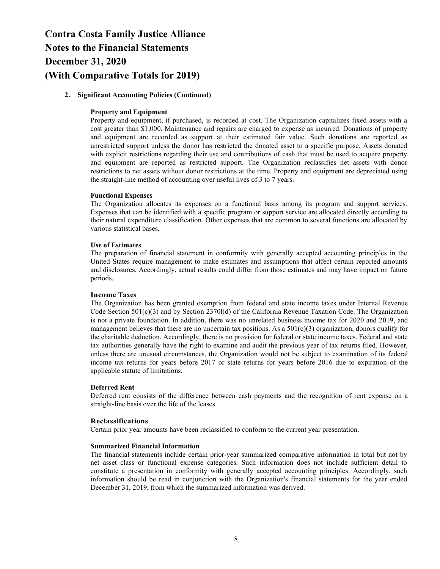# 2. Significant Accounting Policies (Continued)

## Property and Equipment

Property and equipment, if purchased, is recorded at cost. The Organization capitalizes fixed assets with a cost greater than \$1,000. Maintenance and repairs are charged to expense as incurred. Donations of property and equipment are recorded as support at their estimated fair value. Such donations are reported as unrestricted support unless the donor has restricted the donated asset to a specific purpose. Assets donated with explicit restrictions regarding their use and contributions of cash that must be used to acquire property and equipment are reported as restricted support. The Organization reclassifies net assets with donor restrictions to net assets without donor restrictions at the time. Property and equipment are depreciated using the straight-line method of accounting over useful lives of 3 to 7 years.

#### Functional Expenses

The Organization allocates its expenses on a functional basis among its program and support services. Expenses that can be identified with a specific program or support service are allocated directly according to their natural expenditure classification. Other expenses that are common to several functions are allocated by various statistical bases.

#### Use of Estimates

The preparation of financial statement in conformity with generally accepted accounting principles in the United States require management to make estimates and assumptions that affect certain reported amounts and disclosures. Accordingly, actual results could differ from those estimates and may have impact on future periods.

#### Income Taxes

The Organization has been granted exemption from federal and state income taxes under Internal Revenue Code Section 501(c)(3) and by Section 2370l(d) of the California Revenue Taxation Code. The Organization is not a private foundation. In addition, there was no unrelated business income tax for 2020 and 2019, and management believes that there are no uncertain tax positions. As a  $501(c)(3)$  organization, donors qualify for the charitable deduction. Accordingly, there is no provision for federal or state income taxes. Federal and state tax authorities generally have the right to examine and audit the previous year of tax returns filed. However, unless there are unusual circumstances, the Organization would not be subject to examination of its federal income tax returns for years before 2017 or state returns for years before 2016 due to expiration of the applicable statute of limitations.

## Deferred Rent

Deferred rent consists of the difference between cash payments and the recognition of rent expense on a straight-line basis over the life of the leases.

#### Reclassifications

Certain prior year amounts have been reclassified to conform to the current year presentation.

### Summarized Financial Information

The financial statements include certain prior-year summarized comparative information in total but not by net asset class or functional expense categories. Such information does not include sufficient detail to constitute a presentation in conformity with generally accepted accounting principles. Accordingly, such information should be read in conjunction with the Organization's financial statements for the year ended December 31, 2019, from which the summarized information was derived.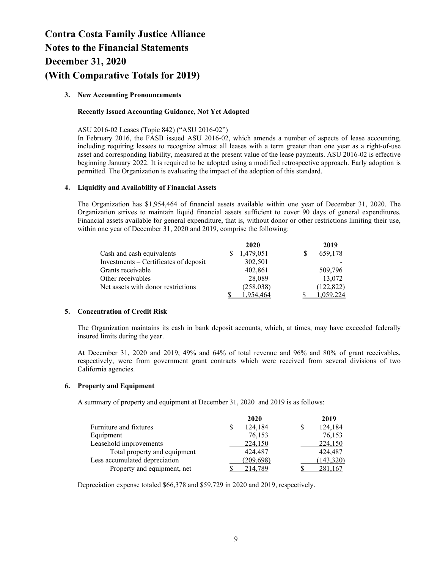# 3. New Accounting Pronouncements

# Recently Issued Accounting Guidance, Not Yet Adopted

# ASU 2016-02 Leases (Topic 842) ("ASU 2016-02")

In February 2016, the FASB issued ASU 2016-02, which amends a number of aspects of lease accounting, including requiring lessees to recognize almost all leases with a term greater than one year as a right-of-use asset and corresponding liability, measured at the present value of the lease payments. ASU 2016-02 is effective beginning January 2022. It is required to be adopted using a modified retrospective approach. Early adoption is permitted. The Organization is evaluating the impact of the adoption of this standard.

# 4. Liquidity and Availability of Financial Assets

The Organization has \$1,954,464 of financial assets available within one year of December 31, 2020. The Organization strives to maintain liquid financial assets sufficient to cover 90 days of general expenditures. Financial assets available for general expenditure, that is, without donor or other restrictions limiting their use, within one year of December 31, 2020 and 2019, comprise the following:

|                                       | 2020       | 2019      |
|---------------------------------------|------------|-----------|
| Cash and cash equivalents             | 1,479,051  | 659,178   |
| Investments – Certificates of deposit | 302,501    |           |
| Grants receivable                     | 402,861    | 509,796   |
| Other receivables                     | 28,089     | 13,072    |
| Net assets with donor restrictions    | (258, 038) | 122,822)  |
|                                       |            | 1.059.224 |

# 5. Concentration of Credit Risk

The Organization maintains its cash in bank deposit accounts, which, at times, may have exceeded federally insured limits during the year.

At December 31, 2020 and 2019, 49% and 64% of total revenue and 96% and 80% of grant receivables, respectively, were from government grant contracts which were received from several divisions of two California agencies.

## 6. Property and Equipment

A summary of property and equipment at December 31, 2020 and 2019 is as follows:

|                               | 2020         | 2019       |
|-------------------------------|--------------|------------|
| Furniture and fixtures        | 124,184<br>S | 124,184    |
| Equipment                     | 76,153       | 76,153     |
| Leasehold improvements        | 224,150      | 224,150    |
| Total property and equipment  | 424,487      | 424,487    |
| Less accumulated depreciation | (209, 698)   | (143, 320) |
| Property and equipment, net   | 214,789      | 281,167    |

Depreciation expense totaled \$66,378 and \$59,729 in 2020 and 2019, respectively.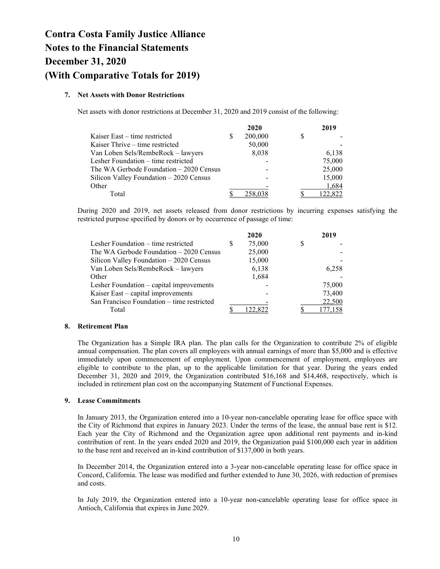# 7. Net Assets with Donor Restrictions

Net assets with donor restrictions at December 31, 2020 and 2019 consist of the following:

|                                         |   | 2020    |   | 2019    |
|-----------------------------------------|---|---------|---|---------|
| Kaiser East – time restricted           | S | 200,000 | S |         |
| Kaiser Thrive – time restricted         |   | 50,000  |   |         |
| Van Loben Sels/RembeRock - lawyers      |   | 8,038   |   | 6,138   |
| Lesher Foundation – time restricted     |   |         |   | 75,000  |
| The WA Gerbode Foundation – 2020 Census |   |         |   | 25,000  |
| Silicon Valley Foundation - 2020 Census |   |         |   | 15,000  |
| Other                                   |   |         |   | 1,684   |
| Total                                   |   |         |   | 122,822 |

During 2020 and 2019, net assets released from donor restrictions by incurring expenses satisfying the restricted purpose specified by donors or by occurrence of passage of time:

|                                            |   | 2020   | 2019   |
|--------------------------------------------|---|--------|--------|
| Lesher Foundation – time restricted        | S | 75,000 |        |
| The WA Gerbode Foundation – 2020 Census    |   | 25,000 |        |
| Silicon Valley Foundation - 2020 Census    |   | 15,000 |        |
| Van Loben Sels/RembeRock - lawyers         |   | 6,138  | 6.258  |
| Other                                      |   | 1,684  |        |
| Lesher Foundation - capital improvements   |   |        | 75,000 |
| Kaiser East – capital improvements         |   |        | 73,400 |
| San Francisco Foundation – time restricted |   |        | 22,500 |
| Total                                      |   |        |        |

## 8. Retirement Plan

The Organization has a Simple IRA plan. The plan calls for the Organization to contribute 2% of eligible annual compensation. The plan covers all employees with annual earnings of more than \$5,000 and is effective immediately upon commencement of employment. Upon commencement of employment, employees are eligible to contribute to the plan, up to the applicable limitation for that year. During the years ended December 31, 2020 and 2019, the Organization contributed \$16,168 and \$14,468, respectively, which is included in retirement plan cost on the accompanying Statement of Functional Expenses.

# 9. Lease Commitments

In January 2013, the Organization entered into a 10-year non-cancelable operating lease for office space with the City of Richmond that expires in January 2023. Under the terms of the lease, the annual base rent is \$12. Each year the City of Richmond and the Organization agree upon additional rent payments and in-kind contribution of rent. In the years ended 2020 and 2019, the Organization paid \$100,000 each year in addition to the base rent and received an in-kind contribution of \$137,000 in both years.

In December 2014, the Organization entered into a 3-year non-cancelable operating lease for office space in Concord, California. The lease was modified and further extended to June 30, 2026, with reduction of premises and costs.

In July 2019, the Organization entered into a 10-year non-cancelable operating lease for office space in Antioch, California that expires in June 2029.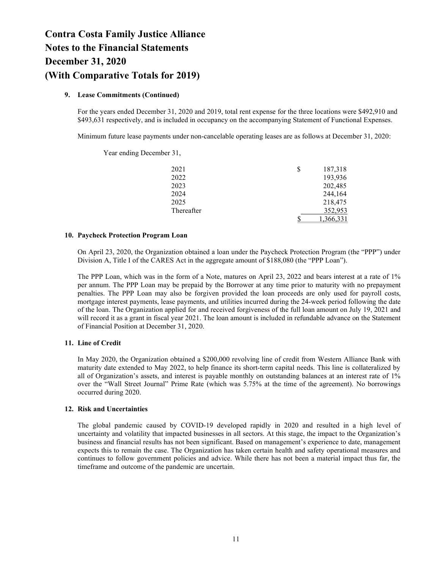# 9. Lease Commitments (Continued)

Year ending December 31,

For the years ended December 31, 2020 and 2019, total rent expense for the three locations were \$492,910 and \$493,631 respectively, and is included in occupancy on the accompanying Statement of Functional Expenses.

Minimum future lease payments under non-cancelable operating leases are as follows at December 31, 2020:

2021 \$ 187,318 2022 193,936 2023 202,485 2024 244,164 2025 218,475 Thereafter 352,953  $\frac{\$}{\$}$  1,366,331

## 10. Paycheck Protection Program Loan

On April 23, 2020, the Organization obtained a loan under the Paycheck Protection Program (the "PPP") under Division A, Title I of the CARES Act in the aggregate amount of \$188,080 (the "PPP Loan").

The PPP Loan, which was in the form of a Note, matures on April 23, 2022 and bears interest at a rate of 1% per annum. The PPP Loan may be prepaid by the Borrower at any time prior to maturity with no prepayment penalties. The PPP Loan may also be forgiven provided the loan proceeds are only used for payroll costs, mortgage interest payments, lease payments, and utilities incurred during the 24-week period following the date of the loan. The Organization applied for and received forgiveness of the full loan amount on July 19, 2021 and will record it as a grant in fiscal year 2021. The loan amount is included in refundable advance on the Statement of Financial Position at December 31, 2020.

# 11. Line of Credit

In May 2020, the Organization obtained a \$200,000 revolving line of credit from Western Alliance Bank with maturity date extended to May 2022, to help finance its short-term capital needs. This line is collateralized by all of Organization's assets, and interest is payable monthly on outstanding balances at an interest rate of 1% over the "Wall Street Journal" Prime Rate (which was 5.75% at the time of the agreement). No borrowings occurred during 2020.

# 12. Risk and Uncertainties

The global pandemic caused by COVID-19 developed rapidly in 2020 and resulted in a high level of uncertainty and volatility that impacted businesses in all sectors. At this stage, the impact to the Organization's business and financial results has not been significant. Based on management's experience to date, management expects this to remain the case. The Organization has taken certain health and safety operational measures and continues to follow government policies and advice. While there has not been a material impact thus far, the timeframe and outcome of the pandemic are uncertain.